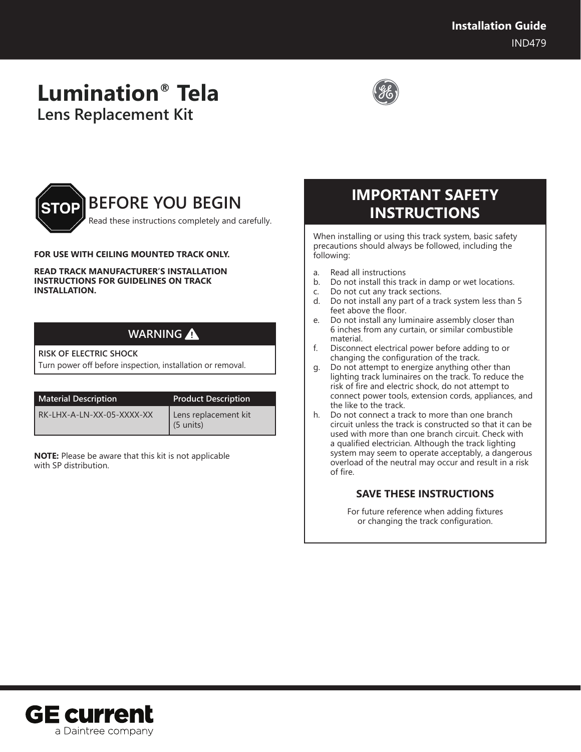# **Lumination® Tela Lens Replacement Kit**





### **FOR USE WITH CEILING MOUNTED TRACK ONLY.**

#### **READ TRACK MANUFACTURER'S INSTALLATION INSTRUCTIONS FOR GUIDELINES ON TRACK INSTALLATION.**

| <b>WARNING</b> |  |
|----------------|--|
|                |  |

### **RISK OF ELECTRIC SHOCK**

Turn power off before inspection, installation or removal.

| <b>Material Description</b> | <b>Product Description</b>        |
|-----------------------------|-----------------------------------|
| RK-LHX-A-LN-XX-05-XXXX-XX   | Lens replacement kit<br>(5 units) |

**NOTE:** Please be aware that this kit is not applicable with SP distribution.

## **IMPORTANT SAFETY INSTRUCTIONS**

When installing or using this track system, basic safety precautions should always be followed, including the following:

- a. Read all instructions
- b. Do not install this track in damp or wet locations.
- c. Do not cut any track sections.
- d. Do not install any part of a track system less than 5 feet above the floor.
- e. Do not install any luminaire assembly closer than 6 inches from any curtain, or similar combustible material.
- f. Disconnect electrical power before adding to or changing the configuration of the track.
- g. Do not attempt to energize anything other than lighting track luminaires on the track. To reduce the risk of fire and electric shock, do not attempt to connect power tools, extension cords, appliances, and the like to the track.
- h. Do not connect a track to more than one branch circuit unless the track is constructed so that it can be used with more than one branch circuit. Check with a qualified electrician. Although the track lighting system may seem to operate acceptably, a dangerous overload of the neutral may occur and result in a risk of fire.

### **SAVE THESE INSTRUCTIONS**

For future reference when adding fixtures or changing the track configuration.